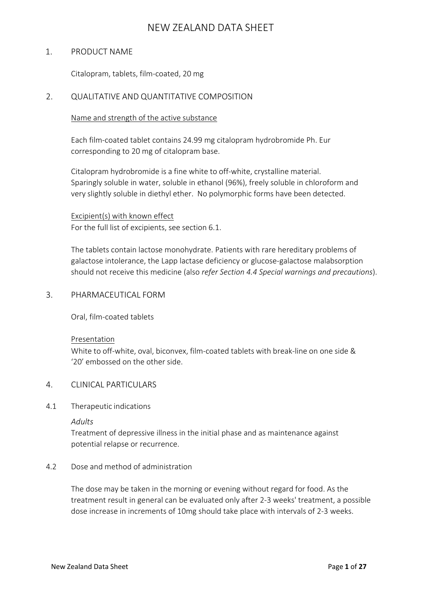## 1. PRODUCT NAME

Citalopram, tablets, film-coated, 20 mg

# 2. QUALITATIVE AND QUANTITATIVE COMPOSITION

#### Name and strength of the active substance

Each film-coated tablet contains 24.99 mg citalopram hydrobromide Ph. Eur corresponding to 20 mg of citalopram base.

Citalopram hydrobromide is a fine white to off-white, crystalline material. Sparingly soluble in water, soluble in ethanol (96%), freely soluble in chloroform and very slightly soluble in diethyl ether. No polymorphic forms have been detected.

# Excipient(s) with known effect For the full list of excipients, see section 6.1.

The tablets contain lactose monohydrate. Patients with rare hereditary problems of galactose intolerance, the Lapp lactase deficiency or glucose-galactose malabsorption should not receive this medicine (also *refer Section 4.4 Special warnings and precautions*).

### 3. PHARMACEUTICAL FORM

Oral, film-coated tablets

### Presentation

White to off-white, oval, biconvex, film-coated tablets with break-line on one side & '20' embossed on the other side.

### 4. CLINICAL PARTICULARS

### 4.1 Therapeutic indications

*Adults*

Treatment of depressive illness in the initial phase and as maintenance against potential relapse or recurrence.

### 4.2 Dose and method of administration

The dose may be taken in the morning or evening without regard for food. As the treatment result in general can be evaluated only after 2-3 weeks' treatment, a possible dose increase in increments of 10mg should take place with intervals of 2-3 weeks.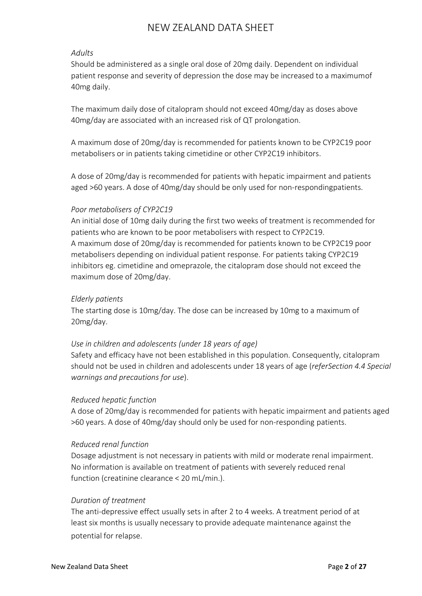## *Adults*

Should be administered as a single oral dose of 20mg daily. Dependent on individual patient response and severity of depression the dose may be increased to a maximum of 40mg daily.

The maximum daily dose of citalopram should not exceed 40mg/day as doses above 40mg/day are associated with an increased risk of QT prolongation.

A maximum dose of 20mg/day is recommended for patients known to be CYP2C19 poor metabolisers or in patients taking cimetidine or other CYP2C19 inhibitors.

A dose of 20mg/day is recommended for patients with hepatic impairment and patients aged >60 years. A dose of 40mg/day should be only used for non-respondingpatients.

# *Poor metabolisers of CYP2C19*

An initial dose of 10mg daily during the first two weeks of treatment is recommended for patients who are known to be poor metabolisers with respect to CYP2C19. A maximum dose of 20mg/day is recommended for patients known to be CYP2C19 poor metabolisers depending on individual patient response. For patients taking CYP2C19 inhibitors eg. cimetidine and omeprazole, the citalopram dose should not exceed the maximum dose of 20mg/day.

## *Elderly patients*

The starting dose is 10mg/day. The dose can be increased by 10mg to a maximum of 20mg/day.

# *Use in children and adolescents (under 18 years of age)*

Safety and efficacy have not been established in this population. Consequently, citalopram should not be used in children and adolescents under 18 years of age (*referSection 4.4 Special warnings and precautions for use*).

### *Reduced hepatic function*

A dose of 20mg/day is recommended for patients with hepatic impairment and patients aged >60 years. A dose of 40mg/day should only be used for non-responding patients.

### *Reduced renal function*

Dosage adjustment is not necessary in patients with mild or moderate renal impairment. No information is available on treatment of patients with severely reduced renal function (creatinine clearance < 20 mL/min.).

### *Duration of treatment*

The anti-depressive effect usually sets in after 2 to 4 weeks. A treatment period of at least six months is usually necessary to provide adequate maintenance against the potential for relapse.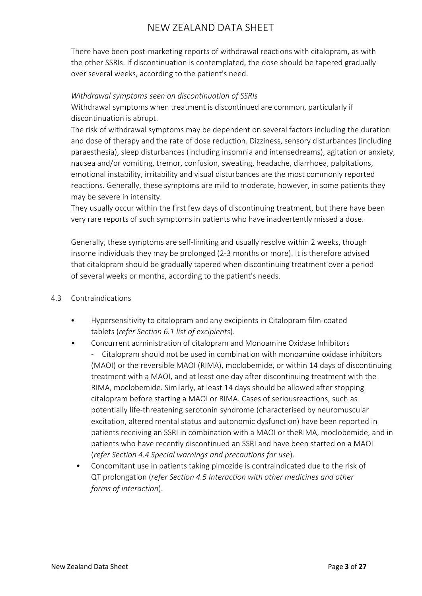There have been post-marketing reports of withdrawal reactions with citalopram, as with the other SSRIs. If discontinuation is contemplated, the dose should be tapered gradually over several weeks, according to the patient's need.

## *Withdrawal symptoms seen on discontinuation of SSRIs*

Withdrawal symptoms when treatment is discontinued are common, particularly if discontinuation is abrupt.

The risk of withdrawal symptoms may be dependent on several factors including the duration and dose of therapy and the rate of dose reduction. Dizziness, sensory disturbances (including paraesthesia), sleep disturbances (including insomnia and intensedreams), agitation or anxiety, nausea and/or vomiting, tremor, confusion, sweating, headache, diarrhoea, palpitations, emotional instability, irritability and visual disturbances are the most commonly reported reactions. Generally, these symptoms are mild to moderate, however, in some patients they may be severe in intensity.

They usually occur within the first few days of discontinuing treatment, but there have been very rare reports of such symptoms in patients who have inadvertently missed a dose.

Generally, these symptoms are self-limiting and usually resolve within 2 weeks, though insome individuals they may be prolonged (2-3 months or more). It is therefore advised that citalopram should be gradually tapered when discontinuing treatment over a period of several weeks or months, according to the patient's needs.

- 4.3 Contraindications
	- Hypersensitivity to citalopram and any excipients in Citalopram film-coated tablets (*refer Section 6.1 list of excipients*).
	- Concurrent administration of citalopram and Monoamine Oxidase Inhibitors - Citalopram should not be used in combination with monoamine oxidase inhibitors (MAOI) or the reversible MAOI (RIMA), moclobemide, or within 14 days of discontinuing treatment with a MAOI, and at least one day after discontinuing treatment with the RIMA, moclobemide. Similarly, at least 14 days should be allowed after stopping citalopram before starting a MAOI or RIMA. Cases of seriousreactions, such as potentially life-threatening serotonin syndrome (characterised by neuromuscular excitation, altered mental status and autonomic dysfunction) have been reported in patients receiving an SSRI in combination with a MAOI or theRIMA, moclobemide, and in patients who have recently discontinued an SSRI and have been started on a MAOI (*refer Section 4.4 Special warnings and precautions for use*).
		- Concomitant use in patients taking pimozide is contraindicated due to the risk of QT prolongation (*refer Section 4.5 Interaction with other medicines and other forms of interaction*).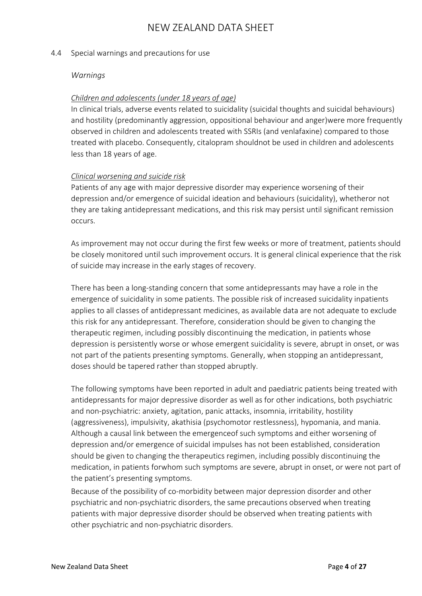#### 4.4 Special warnings and precautions for use

#### *Warnings*

### *Children and adolescents (under 18 years of age)*

In clinical trials, adverse events related to suicidality (suicidal thoughts and suicidal behaviours) and hostility (predominantly aggression, oppositional behaviour and anger)were more frequently observed in children and adolescents treated with SSRIs (and venlafaxine) compared to those treated with placebo. Consequently, citalopram shouldnot be used in children and adolescents less than 18 years of age.

#### *Clinical worsening and suicide risk*

Patients of any age with major depressive disorder may experience worsening of their depression and/or emergence of suicidal ideation and behaviours (suicidality), whetheror not they are taking antidepressant medications, and this risk may persist until significant remission occurs.

As improvement may not occur during the first few weeks or more of treatment, patients should be closely monitored until such improvement occurs. It is general clinical experience that the risk of suicide may increase in the early stages of recovery.

There has been a long-standing concern that some antidepressants may have a role in the emergence of suicidality in some patients. The possible risk of increased suicidality inpatients applies to all classes of antidepressant medicines, as available data are not adequate to exclude this risk for any antidepressant. Therefore, consideration should be given to changing the therapeutic regimen, including possibly discontinuing the medication, in patients whose depression is persistently worse or whose emergent suicidality is severe, abrupt in onset, or was not part of the patients presenting symptoms. Generally, when stopping an antidepressant, doses should be tapered rather than stopped abruptly.

The following symptoms have been reported in adult and paediatric patients being treated with antidepressants for major depressive disorder as well as for other indications, both psychiatric and non-psychiatric: anxiety, agitation, panic attacks, insomnia, irritability, hostility (aggressiveness), impulsivity, akathisia (psychomotor restlessness), hypomania, and mania. Although a causal link between the emergenceof such symptoms and either worsening of depression and/or emergence of suicidal impulses has not been established, consideration should be given to changing the therapeutics regimen, including possibly discontinuing the medication, in patients forwhom such symptoms are severe, abrupt in onset, or were not part of the patient's presenting symptoms.

Because of the possibility of co-morbidity between major depression disorder and other psychiatric and non-psychiatric disorders, the same precautions observed when treating patients with major depressive disorder should be observed when treating patients with other psychiatric and non-psychiatric disorders.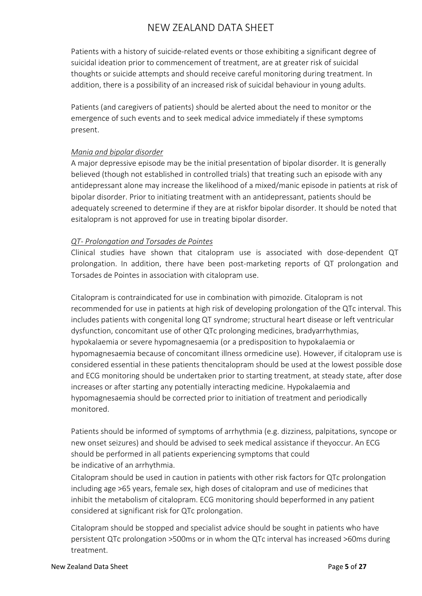Patients with a history of suicide-related events or those exhibiting a significant degree of suicidal ideation prior to commencement of treatment, are at greater risk of suicidal thoughts or suicide attempts and should receive careful monitoring during treatment. In addition, there is a possibility of an increased risk of suicidal behaviour in young adults.

Patients (and caregivers of patients) should be alerted about the need to monitor or the emergence of such events and to seek medical advice immediately if these symptoms present.

# *Mania and bipolar disorder*

A major depressive episode may be the initial presentation of bipolar disorder. It is generally believed (though not established in controlled trials) that treating such an episode with any antidepressant alone may increase the likelihood of a mixed/manic episode in patients at risk of bipolar disorder. Prior to initiating treatment with an antidepressant, patients should be adequately screened to determine if they are at riskfor bipolar disorder. It should be noted that esitalopram is not approved for use in treating bipolar disorder.

## *QT- Prolongation and Torsades de Pointes*

Clinical studies have shown that citalopram use is associated with dose-dependent QT prolongation. In addition, there have been post-marketing reports of QT prolongation and Torsades de Pointes in association with citalopram use.

Citalopram is contraindicated for use in combination with pimozide. Citalopram is not recommended for use in patients at high risk of developing prolongation of the QTc interval. This includes patients with congenital long QT syndrome; structural heart disease or left ventricular dysfunction, concomitant use of other QTc prolonging medicines, bradyarrhythmias, hypokalaemia or severe hypomagnesaemia (or a predisposition to hypokalaemia or hypomagnesaemia because of concomitant illness ormedicine use). However, if citalopram use is considered essential in these patients thencitalopram should be used at the lowest possible dose and ECG monitoring should be undertaken prior to starting treatment, at steady state, after dose increases or after starting any potentially interacting medicine. Hypokalaemia and hypomagnesaemia should be corrected prior to initiation of treatment and periodically monitored.

Patients should be informed of symptoms of arrhythmia (e.g. dizziness, palpitations, syncope or new onset seizures) and should be advised to seek medical assistance if theyoccur. An ECG should be performed in all patients experiencing symptoms that could be indicative of an arrhythmia.

Citalopram should be used in caution in patients with other risk factors for QTc prolongation including age >65 years, female sex, high doses of citalopram and use of medicines that inhibit the metabolism of citalopram. ECG monitoring should beperformed in any patient considered at significant risk for QTc prolongation.

Citalopram should be stopped and specialist advice should be sought in patients who have persistent QTc prolongation >500ms or in whom the QTc interval has increased >60ms during treatment.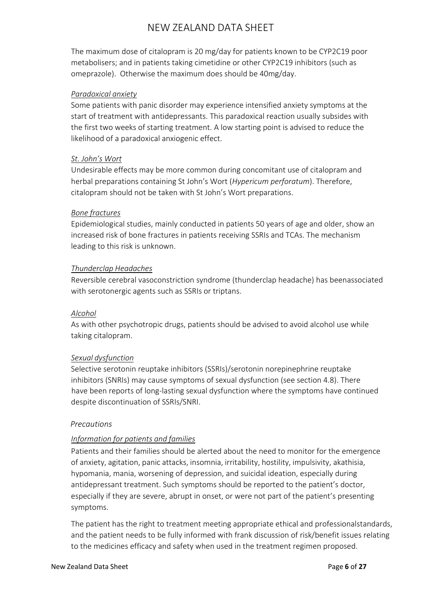The maximum dose of citalopram is 20 mg/day for patients known to be CYP2C19 poor metabolisers; and in patients taking cimetidine or other CYP2C19 inhibitors (such as omeprazole). Otherwise the maximum does should be 40mg/day.

## *Paradoxical anxiety*

Some patients with panic disorder may experience intensified anxiety symptoms at the start of treatment with antidepressants. This paradoxical reaction usually subsides with the first two weeks of starting treatment. A low starting point is advised to reduce the likelihood of a paradoxical anxiogenic effect.

## *St. John's Wort*

Undesirable effects may be more common during concomitant use of citalopram and herbal preparations containing St John's Wort (*Hypericum perforatum*). Therefore, citalopram should not be taken with St John's Wort preparations.

## *Bone fractures*

Epidemiological studies, mainly conducted in patients 50 years of age and older, show an increased risk of bone fractures in patients receiving SSRIs and TCAs. The mechanism leading to this risk is unknown.

## *Thunderclap Headaches*

Reversible cerebral vasoconstriction syndrome (thunderclap headache) has beenassociated with serotonergic agents such as SSRIs or triptans.

### *Alcohol*

As with other psychotropic drugs, patients should be advised to avoid alcohol use while taking citalopram.

# *Sexual dysfunction*

Selective serotonin reuptake inhibitors (SSRIs)/serotonin norepinephrine reuptake inhibitors (SNRIs) may cause symptoms of sexual dysfunction (see section 4.8). There have been reports of long-lasting sexual dysfunction where the symptoms have continued despite discontinuation of SSRIs/SNRI.

# *Precautions*

# *Information for patients and families*

Patients and their families should be alerted about the need to monitor for the emergence of anxiety, agitation, panic attacks, insomnia, irritability, hostility, impulsivity, akathisia, hypomania, mania, worsening of depression, and suicidal ideation, especially during antidepressant treatment. Such symptoms should be reported to the patient's doctor, especially if they are severe, abrupt in onset, or were not part of the patient's presenting symptoms.

The patient has the right to treatment meeting appropriate ethical and professionalstandards, and the patient needs to be fully informed with frank discussion of risk/benefit issues relating to the medicines efficacy and safety when used in the treatment regimen proposed.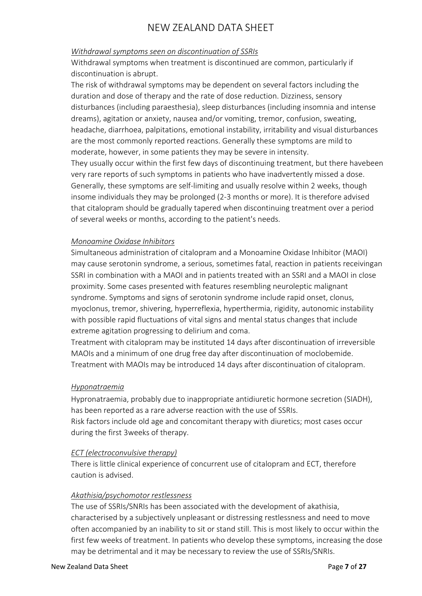# *Withdrawal symptoms seen on discontinuation of SSRIs*

of several weeks or months, according to the patient's needs.

Withdrawal symptoms when treatment is discontinued are common, particularly if discontinuation is abrupt.

The risk of withdrawal symptoms may be dependent on several factors including the duration and dose of therapy and the rate of dose reduction. Dizziness, sensory disturbances (including paraesthesia), sleep disturbances (including insomnia and intense dreams), agitation or anxiety, nausea and/or vomiting, tremor, confusion, sweating, headache, diarrhoea, palpitations, emotional instability, irritability and visual disturbances are the most commonly reported reactions. Generally these symptoms are mild to moderate, however, in some patients they may be severe in intensity. They usually occur within the first few days of discontinuing treatment, but there havebeen very rare reports of such symptoms in patients who have inadvertently missed a dose. Generally, these symptoms are self-limiting and usually resolve within 2 weeks, though insome individuals they may be prolonged (2-3 months or more). It is therefore advised that citalopram should be gradually tapered when discontinuing treatment over a period

## *Monoamine Oxidase Inhibitors*

Simultaneous administration of citalopram and a Monoamine Oxidase Inhibitor (MAOI) may cause serotonin syndrome, a serious, sometimes fatal, reaction in patients receivingan SSRI in combination with a MAOI and in patients treated with an SSRI and a MAOI in close proximity. Some cases presented with features resembling neuroleptic malignant syndrome. Symptoms and signs of serotonin syndrome include rapid onset, clonus, myoclonus, tremor, shivering, hyperreflexia, hyperthermia, rigidity, autonomic instability with possible rapid fluctuations of vital signs and mental status changes that include extreme agitation progressing to delirium and coma.

Treatment with citalopram may be instituted 14 days after discontinuation of irreversible MAOIs and a minimum of one drug free day after discontinuation of moclobemide. Treatment with MAOIs may be introduced 14 days after discontinuation of citalopram.

### *Hyponatraemia*

Hypronatraemia, probably due to inappropriate antidiuretic hormone secretion (SIADH), has been reported as a rare adverse reaction with the use of SSRIs. Risk factors include old age and concomitant therapy with diuretics; most cases occur during the first 3weeks of therapy.

### *ECT (electroconvulsive therapy)*

There is little clinical experience of concurrent use of citalopram and ECT, therefore caution is advised.

### *Akathisia/psychomotor restlessness*

The use of SSRIs/SNRIs has been associated with the development of akathisia, characterised by a subjectively unpleasant or distressing restlessness and need to move often accompanied by an inability to sit or stand still. This is most likely to occur within the first few weeks of treatment. In patients who develop these symptoms, increasing the dose may be detrimental and it may be necessary to review the use of SSRIs/SNRIs.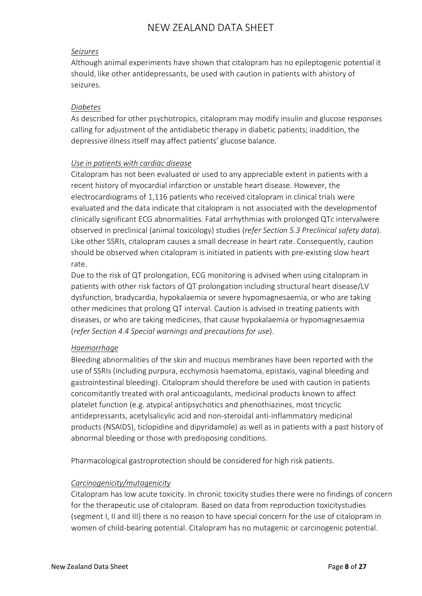## *Seizures*

Although animal experiments have shown that citalopram has no epileptogenic potential it should, like other antidepressants, be used with caution in patients with ahistory of seizures.

## *Diabetes*

As described for other psychotropics, citalopram may modify insulin and glucose responses calling for adjustment of the antidiabetic therapy in diabetic patients; inaddition, the depressive illness itself may affect patients' glucose balance.

## *Use in patients with cardiac disease*

Citalopram has not been evaluated or used to any appreciable extent in patients with a recent history of myocardial infarction or unstable heart disease. However, the electrocardiograms of 1,116 patients who received citalopram in clinical trials were evaluated and the data indicate that citalopram is not associated with the developmentof clinically significant ECG abnormalities. Fatal arrhythmias with prolonged QTc intervalwere observed in preclinical (animal toxicology) studies (*refer Section 5.3 Preclinical safety data*). Like other SSRIs, citalopram causes a small decrease in heart rate. Consequently, caution should be observed when citalopram is initiated in patients with pre-existing slow heart rate.

Due to the risk of QT prolongation, ECG monitoring is advised when using citalopram in patients with other risk factors of QT prolongation including structural heart disease/LV dysfunction, bradycardia, hypokalaemia or severe hypomagnesaemia, or who are taking other medicines that prolong QT interval. Caution is advised in treating patients with diseases, or who are taking medicines, that cause hypokalaemia or hypomagnesaemia (*refer Section 4.4 Special warnings and precautions for use*).

# *Haemorrhage*

Bleeding abnormalities of the skin and mucous membranes have been reported with the use of SSRIs (including purpura, ecchymosis haematoma, epistaxis, vaginal bleeding and gastrointestinal bleeding). Citalopram should therefore be used with caution in patients concomitantly treated with oral anticoagulants, medicinal products known to affect platelet function (e.g. atypical antipsychotics and phenothiazines, most tricyclic antidepressants, acetylsalicylic acid and non-steroidal anti-inflammatory medicinal products (NSAIDS), ticlopidine and dipyridamole) as well as in patients with a past history of abnormal bleeding or those with predisposing conditions.

Pharmacological gastroprotection should be considered for high risk patients.

# *Carcinogenicity/mutagenicity*

Citalopram has low acute toxicity. In chronic toxicity studies there were no findings of concern for the therapeutic use of citalopram. Based on data from reproduction toxicitystudies (segment I, II and III) there is no reason to have special concern for the use of citalopram in women of child-bearing potential. Citalopram has no mutagenic or carcinogenic potential.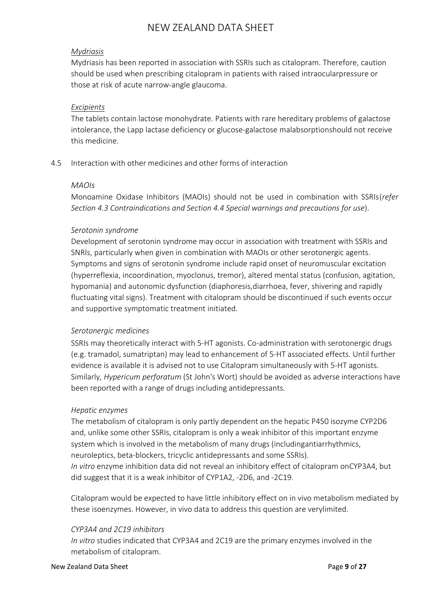## *Mydriasis*

Mydriasis has been reported in association with SSRIs such as citalopram. Therefore, caution should be used when prescribing citalopram in patients with raised intraocularpressure or those at risk of acute narrow-angle glaucoma.

### *Excipients*

The tablets contain lactose monohydrate. Patients with rare hereditary problems of galactose intolerance, the Lapp lactase deficiency or glucose-galactose malabsorptionshould not receive this medicine.

# 4.5 Interaction with other medicines and other forms of interaction

## *MAOIs*

Monoamine Oxidase Inhibitors (MAOIs) should not be used in combination with SSRIs(*refer Section 4.3 Contraindications and Section 4.4 Special warnings and precautions for use*).

## *Serotonin syndrome*

Development of serotonin syndrome may occur in association with treatment with SSRIs and SNRIs, particularly when given in combination with MAOIs or other serotonergic agents. Symptoms and signs of serotonin syndrome include rapid onset of neuromuscular excitation (hyperreflexia, incoordination, myoclonus, tremor), altered mental status (confusion, agitation, hypomania) and autonomic dysfunction (diaphoresis,diarrhoea, fever, shivering and rapidly fluctuating vital signs). Treatment with citalopram should be discontinued if such events occur and supportive symptomatic treatment initiated.

### *Serotonergic medicines*

SSRIs may theoretically interact with 5-HT agonists. Co-administration with serotonergic drugs (e.g. tramadol, sumatriptan) may lead to enhancement of 5-HT associated effects. Until further evidence is available it is advised not to use Citalopram simultaneously with 5-HT agonists. Similarly, *Hypericum perforatum* (St John's Wort) should be avoided as adverse interactions have been reported with a range of drugs including antidepressants.

### *Hepatic enzymes*

The metabolism of citalopram is only partly dependent on the hepatic P450 isozyme CYP2D6 and, unlike some other SSRIs, citalopram is only a weak inhibitor of this important enzyme system which is involved in the metabolism of many drugs (includingantiarrhythmics, neuroleptics, beta-blockers, tricyclic antidepressants and some SSRIs). *In vitro* enzyme inhibition data did not reveal an inhibitory effect of citalopram onCYP3A4, but did suggest that it is a weak inhibitor of CYP1A2, -2D6, and -2C19.

Citalopram would be expected to have little inhibitory effect on in vivo metabolism mediated by these isoenzymes. However, in vivo data to address this question are verylimited.

### *CYP3A4 and 2C19 inhibitors*

*In vitro* studies indicated that CYP3A4 and 2C19 are the primary enzymes involved in the metabolism of citalopram.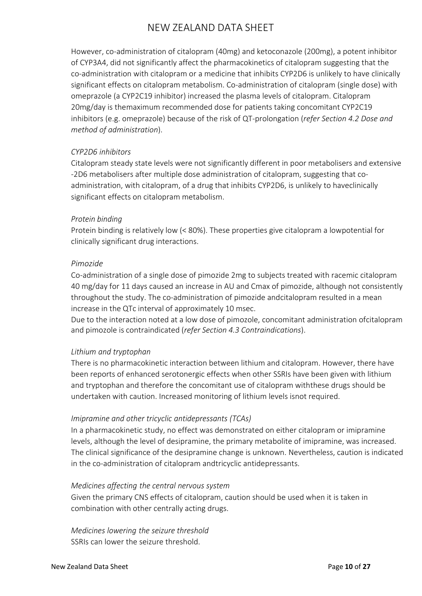However, co-administration of citalopram (40mg) and ketoconazole (200mg), a potent inhibitor of CYP3A4, did not significantly affect the pharmacokinetics of citalopram suggesting that the co-administration with citalopram or a medicine that inhibits CYP2D6 is unlikely to have clinically significant effects on citalopram metabolism. Co-administration of citalopram (single dose) with omeprazole (a CYP2C19 inhibitor) increased the plasma levels of citalopram. Citalopram 20mg/day is themaximum recommended dose for patients taking concomitant CYP2C19 inhibitors (e.g. omeprazole) because of the risk of QT-prolongation (*refer Section 4.2 Dose and method of administration*).

### *CYP2D6 inhibitors*

Citalopram steady state levels were not significantly different in poor metabolisers and extensive -2D6 metabolisers after multiple dose administration of citalopram, suggesting that coadministration, with citalopram, of a drug that inhibits CYP2D6, is unlikely to haveclinically significant effects on citalopram metabolism.

### *Protein binding*

Protein binding is relatively low (< 80%). These properties give citalopram a lowpotential for clinically significant drug interactions.

### *Pimozide*

Co-administration of a single dose of pimozide 2mg to subjects treated with racemic citalopram 40 mg/day for 11 days caused an increase in AU and Cmax of pimozide, although not consistently throughout the study. The co-administration of pimozide andcitalopram resulted in a mean increase in the QTc interval of approximately 10 msec.

Due to the interaction noted at a low dose of pimozole, concomitant administration ofcitalopram and pimozole is contraindicated (*refer Section 4.3 Contraindications*).

# *Lithium and tryptophan*

There is no pharmacokinetic interaction between lithium and citalopram. However, there have been reports of enhanced serotonergic effects when other SSRIs have been given with lithium and tryptophan and therefore the concomitant use of citalopram withthese drugs should be undertaken with caution. Increased monitoring of lithium levels isnot required.

# *Imipramine and other tricyclic antidepressants (TCAs)*

In a pharmacokinetic study, no effect was demonstrated on either citalopram or imipramine levels, although the level of desipramine, the primary metabolite of imipramine, was increased. The clinical significance of the desipramine change is unknown. Nevertheless, caution is indicated in the co-administration of citalopram andtricyclic antidepressants.

# *Medicines affecting the central nervous system*

Given the primary CNS effects of citalopram, caution should be used when it is taken in combination with other centrally acting drugs.

*Medicines lowering the seizure threshold* SSRIs can lower the seizure threshold.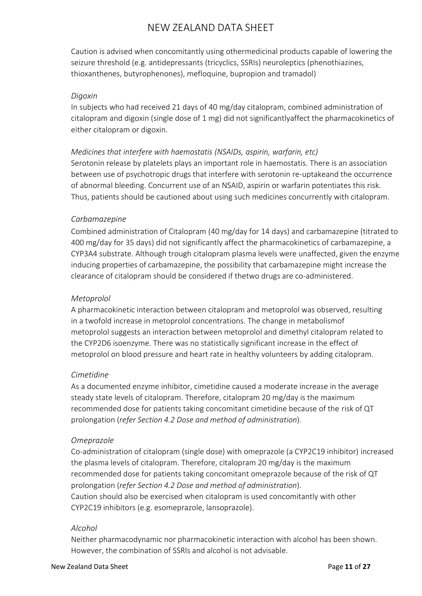Caution is advised when concomitantly using othermedicinal products capable of lowering the seizure threshold (e.g. antidepressants (tricyclics, SSRIs) neuroleptics (phenothiazines, thioxanthenes, butyrophenones), mefloquine, bupropion and tramadol)

## *Digoxin*

In subjects who had received 21 days of 40 mg/day citalopram, combined administration of citalopram and digoxin (single dose of 1 mg) did not significantlyaffect the pharmacokinetics of either citalopram or digoxin.

# *Medicines that interfere with haemostatis (NSAIDs, aspirin, warfarin, etc)*

Serotonin release by platelets plays an important role in haemostatis. There is an association between use of psychotropic drugs that interfere with serotonin re-uptakeand the occurrence of abnormal bleeding. Concurrent use of an NSAID, aspirin or warfarin potentiates this risk. Thus, patients should be cautioned about using such medicines concurrently with citalopram.

# *Carbamazepine*

Combined administration of Citalopram (40 mg/day for 14 days) and carbamazepine (titrated to 400 mg/day for 35 days) did not significantly affect the pharmacokinetics of carbamazepine, a CYP3A4 substrate. Although trough citalopram plasma levels were unaffected, given the enzyme inducing properties of carbamazepine, the possibility that carbamazepine might increase the clearance of citalopram should be considered if thetwo drugs are co-administered.

## *Metoprolol*

A pharmacokinetic interaction between citalopram and metoprolol was observed, resulting in a twofold increase in metoprolol concentrations. The change in metabolismof metoprolol suggests an interaction between metoprolol and dimethyl citalopram related to the CYP2D6 isoenzyme. There was no statistically significant increase in the effect of metoprolol on blood pressure and heart rate in healthy volunteers by adding citalopram.

# *Cimetidine*

As a documented enzyme inhibitor, cimetidine caused a moderate increase in the average steady state levels of citalopram. Therefore, citalopram 20 mg/day is the maximum recommended dose for patients taking concomitant cimetidine because of the risk of QT prolongation (*refer Section 4.2 Dose and method of administration*).

### *Omeprazole*

Co-administration of citalopram (single dose) with omeprazole (a CYP2C19 inhibitor) increased the plasma levels of citalopram. Therefore, citalopram 20 mg/day is the maximum recommended dose for patients taking concomitant omeprazole because of the risk of QT prolongation (*refer Section 4.2 Dose and method of administration*). Caution should also be exercised when citalopram is used concomitantly with other CYP2C19 inhibitors (e.g. esomeprazole, lansoprazole).

### *Alcohol*

Neither pharmacodynamic nor pharmacokinetic interaction with alcohol has been shown. However, the combination of SSRIs and alcohol is not advisable.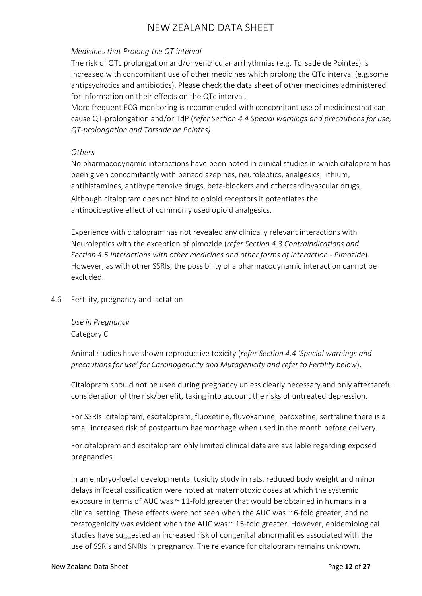# *Medicines that Prolong the QT interval*

The risk of QTc prolongation and/or ventricular arrhythmias (e.g. Torsade de Pointes) is increased with concomitant use of other medicines which prolong the QTc interval (e.g.some antipsychotics and antibiotics). Please check the data sheet of other medicines administered for information on their effects on the QTc interval.

More frequent ECG monitoring is recommended with concomitant use of medicinesthat can cause QT-prolongation and/or TdP (*refer Section 4.4 Special warnings and precautions for use, QT-prolongation and Torsade de Pointes).*

## *Others*

No pharmacodynamic interactions have been noted in clinical studies in which citalopram has been given concomitantly with benzodiazepines, neuroleptics, analgesics, lithium, antihistamines, antihypertensive drugs, beta-blockers and othercardiovascular drugs. Although citalopram does not bind to opioid receptors it potentiates the antinociceptive effect of commonly used opioid analgesics.

Experience with citalopram has not revealed any clinically relevant interactions with Neuroleptics with the exception of pimozide (*refer Section 4.3 Contraindications and Section 4.5 Interactions with other medicines and other forms of interaction - Pimozide*). However, as with other SSRIs, the possibility of a pharmacodynamic interaction cannot be excluded.

# 4.6 Fertility, pregnancy and lactation

*Use in Pregnancy* Category C

Animal studies have shown reproductive toxicity (*refer Section 4.4 'Special warnings and precautions for use' for Carcinogenicity and Mutagenicity and refer to Fertility below*).

Citalopram should not be used during pregnancy unless clearly necessary and only aftercareful consideration of the risk/benefit, taking into account the risks of untreated depression.

For SSRIs: citalopram, escitalopram, fluoxetine, fluvoxamine, paroxetine, sertraline there is a small increased risk of postpartum haemorrhage when used in the month before delivery.

For citalopram and escitalopram only limited clinical data are available regarding exposed pregnancies.

In an embryo-foetal developmental toxicity study in rats, reduced body weight and minor delays in foetal ossification were noted at maternotoxic doses at which the systemic exposure in terms of AUC was  $\sim$  11-fold greater that would be obtained in humans in a clinical setting. These effects were not seen when the AUC was  $\sim$  6-fold greater, and no teratogenicity was evident when the AUC was ~ 15-fold greater. However, epidemiological studies have suggested an increased risk of congenital abnormalities associated with the use of SSRIs and SNRIs in pregnancy. The relevance for citalopram remains unknown.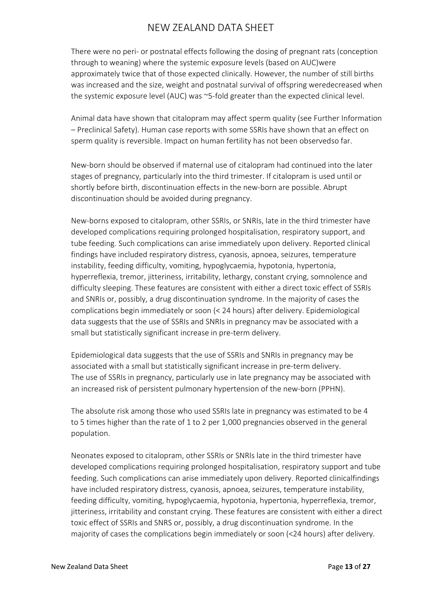There were no peri- or postnatal effects following the dosing of pregnant rats (conception through to weaning) where the systemic exposure levels (based on AUC)were approximately twice that of those expected clinically. However, the number of still births was increased and the size, weight and postnatal survival of offspring weredecreased when the systemic exposure level (AUC) was ~5-fold greater than the expected clinical level.

Animal data have shown that citalopram may affect sperm quality (see Further Information – Preclinical Safety). Human case reports with some SSRIs have shown that an effect on sperm quality is reversible. Impact on human fertility has not been observedso far.

New-born should be observed if maternal use of citalopram had continued into the later stages of pregnancy, particularly into the third trimester. If citalopram is used until or shortly before birth, discontinuation effects in the new-born are possible. Abrupt discontinuation should be avoided during pregnancy.

New-borns exposed to citalopram, other SSRIs, or SNRIs, late in the third trimester have developed complications requiring prolonged hospitalisation, respiratory support, and tube feeding. Such complications can arise immediately upon delivery. Reported clinical findings have included respiratory distress, cyanosis, apnoea, seizures, temperature instability, feeding difficulty, vomiting, hypoglycaemia, hypotonia, hypertonia, hyperreflexia, tremor, jitteriness, irritability, lethargy, constant crying, somnolence and difficulty sleeping. These features are consistent with either a direct toxic effect of SSRIs and SNRIs or, possibly, a drug discontinuation syndrome. In the majority of cases the complications begin immediately or soon (< 24 hours) after delivery. Epidemiological data suggests that the use of SSRIs and SNRIs in pregnancy mav be associated with a small but statistically significant increase in pre-term delivery.

Epidemiological data suggests that the use of SSRIs and SNRIs in pregnancy may be associated with a small but statistically significant increase in pre-term delivery. The use of SSRIs in pregnancy, particularly use in late pregnancy may be associated with an increased risk of persistent pulmonary hypertension of the new-born (PPHN).

The absolute risk among those who used SSRIs late in pregnancy was estimated to be 4 to 5 times higher than the rate of 1 to 2 per 1,000 pregnancies observed in the general population.

Neonates exposed to citalopram, other SSRIs or SNRIs late in the third trimester have developed complications requiring prolonged hospitalisation, respiratory support and tube feeding. Such complications can arise immediately upon delivery. Reported clinicalfindings have included respiratory distress, cyanosis, apnoea, seizures, temperature instability, feeding difficulty, vomiting, hypoglycaemia, hypotonia, hypertonia, hyperreflexia, tremor, jitteriness, irritability and constant crying. These features are consistent with either a direct toxic effect of SSRIs and SNRS or, possibly, a drug discontinuation syndrome. In the majority of cases the complications begin immediately or soon (<24 hours) after delivery.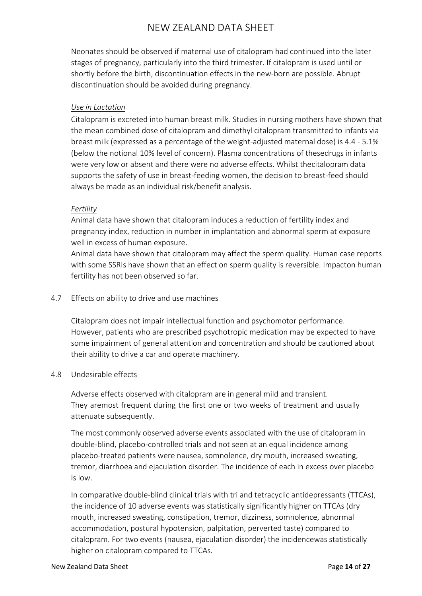Neonates should be observed if maternal use of citalopram had continued into the later stages of pregnancy, particularly into the third trimester. If citalopram is used until or shortly before the birth, discontinuation effects in the new-born are possible. Abrupt discontinuation should be avoided during pregnancy.

## *Use in Lactation*

Citalopram is excreted into human breast milk. Studies in nursing mothers have shown that the mean combined dose of citalopram and dimethyl citalopram transmitted to infants via breast milk (expressed as a percentage of the weight-adjusted maternal dose) is 4.4 - 5.1% (below the notional 10% level of concern). Plasma concentrations of thesedrugs in infants were very low or absent and there were no adverse effects. Whilst thecitalopram data supports the safety of use in breast-feeding women, the decision to breast-feed should always be made as an individual risk/benefit analysis.

## *Fertility*

Animal data have shown that citalopram induces a reduction of fertility index and pregnancy index, reduction in number in implantation and abnormal sperm at exposure well in excess of human exposure.

Animal data have shown that citalopram may affect the sperm quality. Human case reports with some SSRIs have shown that an effect on sperm quality is reversible. Impacton human fertility has not been observed so far.

## 4.7 Effects on ability to drive and use machines

Citalopram does not impair intellectual function and psychomotor performance. However, patients who are prescribed psychotropic medication may be expected to have some impairment of general attention and concentration and should be cautioned about their ability to drive a car and operate machinery.

### 4.8 Undesirable effects

Adverse effects observed with citalopram are in general mild and transient. They aremost frequent during the first one or two weeks of treatment and usually attenuate subsequently.

The most commonly observed adverse events associated with the use of citalopram in double-blind, placebo-controlled trials and not seen at an equal incidence among placebo-treated patients were nausea, somnolence, dry mouth, increased sweating, tremor, diarrhoea and ejaculation disorder. The incidence of each in excess over placebo is low.

In comparative double-blind clinical trials with tri and tetracyclic antidepressants (TTCAs), the incidence of 10 adverse events was statistically significantly higher on TTCAs (dry mouth, increased sweating, constipation, tremor, dizziness, somnolence, abnormal accommodation, postural hypotension, palpitation, perverted taste) compared to citalopram. For two events (nausea, ejaculation disorder) the incidencewas statistically higher on citalopram compared to TTCAs.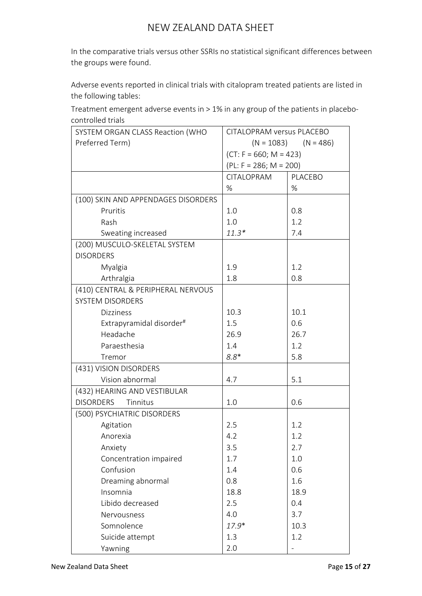In the comparative trials versus other SSRIs no statistical significant differences between the groups were found.

Adverse events reported in clinical trials with citalopram treated patients are listed in the following tables:

Treatment emergent adverse events in > 1% in any group of the patients in placebocontrolled trials

| SYSTEM ORGAN CLASS Reaction (WHO     | <b>CITALOPRAM versus PLACEBO</b> |         |  |
|--------------------------------------|----------------------------------|---------|--|
| Preferred Term)                      | $(N = 1083)$<br>$(N = 486)$      |         |  |
|                                      | $(CT: F = 660; M = 423)$         |         |  |
|                                      | $(PL: F = 286; M = 200)$         |         |  |
|                                      | CITALOPRAM                       | PLACEBO |  |
|                                      | %                                | %       |  |
| (100) SKIN AND APPENDAGES DISORDERS  |                                  |         |  |
| Pruritis                             | 1.0                              | 0.8     |  |
| Rash                                 | 1.0                              | 1.2     |  |
| Sweating increased                   | $11.3*$                          | 7.4     |  |
| (200) MUSCULO-SKELETAL SYSTEM        |                                  |         |  |
| <b>DISORDERS</b>                     |                                  |         |  |
| Myalgia                              | 1.9                              | 1.2     |  |
| Arthralgia                           | 1.8                              | 0.8     |  |
| (410) CENTRAL & PERIPHERAL NERVOUS   |                                  |         |  |
| <b>SYSTEM DISORDERS</b>              |                                  |         |  |
| <b>Dizziness</b>                     | 10.3                             | 10.1    |  |
| Extrapyramidal disorder <sup>#</sup> | 1.5                              | 0.6     |  |
| Headache                             | 26.9                             | 26.7    |  |
| Paraesthesia                         | 1.4                              | 1.2     |  |
| Tremor                               | $8.8*$                           | 5.8     |  |
| (431) VISION DISORDERS               |                                  |         |  |
| Vision abnormal                      | 4.7                              | 5.1     |  |
| (432) HEARING AND VESTIBULAR         |                                  |         |  |
| <b>DISORDERS</b><br>Tinnitus         | 1.0                              | 0.6     |  |
| (500) PSYCHIATRIC DISORDERS          |                                  |         |  |
| Agitation                            | 2.5                              | 1.2     |  |
| Anorexia                             | 4.2                              | 1.2     |  |
| Anxiety                              | 3.5                              | 2.7     |  |
| Concentration impaired               | 1.7                              | 1.0     |  |
| Confusion                            | 1.4                              | 0.6     |  |
| Dreaming abnormal                    | 0.8                              | 1.6     |  |
| Insomnia                             | 18.8                             | 18.9    |  |
| Libido decreased                     | 2.5                              | 0.4     |  |
| Nervousness                          | 4.0                              | 3.7     |  |
| Somnolence                           | $17.9*$                          | 10.3    |  |
| Suicide attempt                      | 1.3                              | 1.2     |  |
| Yawning                              | 2.0                              |         |  |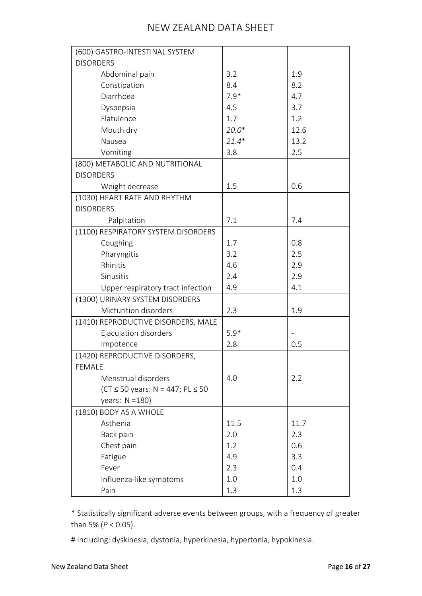| (600) GASTRO-INTESTINAL SYSTEM                 |         |      |
|------------------------------------------------|---------|------|
| <b>DISORDERS</b>                               |         |      |
| Abdominal pain                                 | 3.2     | 1.9  |
| Constipation                                   | 8.4     | 8.2  |
| Diarrhoea                                      | $7.9*$  | 4.7  |
| Dyspepsia                                      | 4.5     | 3.7  |
| Flatulence                                     | 1.7     | 1.2  |
| Mouth dry                                      | $20.0*$ | 12.6 |
| Nausea                                         | $21.4*$ | 13.2 |
| Vomiting                                       | 3.8     | 2.5  |
| (800) METABOLIC AND NUTRITIONAL                |         |      |
| <b>DISORDERS</b>                               |         |      |
| Weight decrease                                | 1.5     | 0.6  |
| (1030) HEART RATE AND RHYTHM                   |         |      |
| <b>DISORDERS</b>                               |         |      |
| Palpitation                                    | 7.1     | 7.4  |
| (1100) RESPIRATORY SYSTEM DISORDERS            |         |      |
| Coughing                                       | 1.7     | 0.8  |
| Pharyngitis                                    | 3.2     | 2.5  |
| Rhinitis                                       | 4.6     | 2.9  |
| Sinusitis                                      | 2.4     | 2.9  |
| Upper respiratory tract infection              | 4.9     | 4.1  |
| (1300) URINARY SYSTEM DISORDERS                |         |      |
| Micturition disorders                          | 2.3     | 1.9  |
| (1410) REPRODUCTIVE DISORDERS, MALE            |         |      |
| Ejaculation disorders                          | $5.9*$  |      |
| Impotence                                      | 2.8     | 0.5  |
| (1420) REPRODUCTIVE DISORDERS,                 |         |      |
| <b>FEMALE</b>                                  |         |      |
| Menstrual disorders                            | 4.0     | 2.2  |
| $(CT \le 50 \text{ years}: N = 447; PL \le 50$ |         |      |
| years: $N = 180$ )                             |         |      |
| (1810) BODY AS A WHOLE                         |         |      |
| Asthenia                                       | 11.5    | 11.7 |
| Back pain                                      | 2.0     | 2.3  |
| Chest pain                                     | 1.2     | 0.6  |
| Fatigue                                        | 4.9     | 3.3  |
| Fever                                          | 2.3     | 0.4  |
| Influenza-like symptoms                        | 1.0     | 1.0  |
| Pain                                           | 1.3     | 1.3  |

\* Statistically significant adverse events between groups, with a frequency of greater than 5% (*P* < 0.05).

# Including: dyskinesia, dystonia, hyperkinesia, hypertonia, hypokinesia.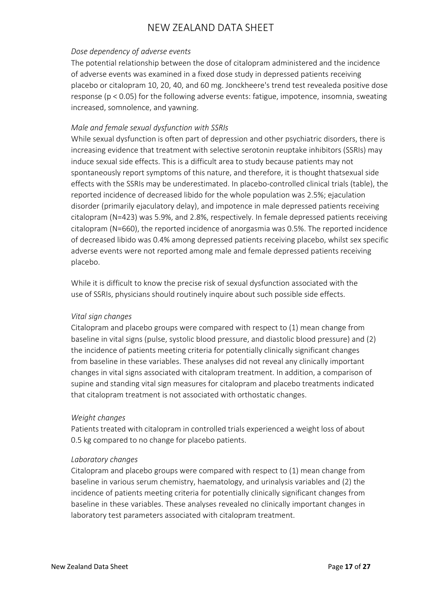## *Dose dependency of adverse events*

The potential relationship between the dose of citalopram administered and the incidence of adverse events was examined in a fixed dose study in depressed patients receiving placebo or citalopram 10, 20, 40, and 60 mg. Jonckheere's trend test revealeda positive dose response (p < 0.05) for the following adverse events: fatigue, impotence, insomnia, sweating increased, somnolence, and yawning.

## *Male and female sexual dysfunction with SSRIs*

While sexual dysfunction is often part of depression and other psychiatric disorders, there is increasing evidence that treatment with selective serotonin reuptake inhibitors (SSRIs) may induce sexual side effects. This is a difficult area to study because patients may not spontaneously report symptoms of this nature, and therefore, it is thought thatsexual side effects with the SSRIs may be underestimated. In placebo-controlled clinical trials (table), the reported incidence of decreased libido for the whole population was 2.5%; ejaculation disorder (primarily ejaculatory delay), and impotence in male depressed patients receiving citalopram (N=423) was 5.9%, and 2.8%, respectively. In female depressed patients receiving citalopram (N=660), the reported incidence of anorgasmia was 0.5%. The reported incidence of decreased libido was 0.4% among depressed patients receiving placebo, whilst sex specific adverse events were not reported among male and female depressed patients receiving placebo.

While it is difficult to know the precise risk of sexual dysfunction associated with the use of SSRIs, physicians should routinely inquire about such possible side effects.

# *Vital sign changes*

Citalopram and placebo groups were compared with respect to (1) mean change from baseline in vital signs (pulse, systolic blood pressure, and diastolic blood pressure) and (2) the incidence of patients meeting criteria for potentially clinically significant changes from baseline in these variables. These analyses did not reveal any clinically important changes in vital signs associated with citalopram treatment. In addition, a comparison of supine and standing vital sign measures for citalopram and placebo treatments indicated that citalopram treatment is not associated with orthostatic changes.

### *Weight changes*

Patients treated with citalopram in controlled trials experienced a weight loss of about 0.5 kg compared to no change for placebo patients.

# *Laboratory changes*

Citalopram and placebo groups were compared with respect to (1) mean change from baseline in various serum chemistry, haematology, and urinalysis variables and (2) the incidence of patients meeting criteria for potentially clinically significant changes from baseline in these variables. These analyses revealed no clinically important changes in laboratory test parameters associated with citalopram treatment.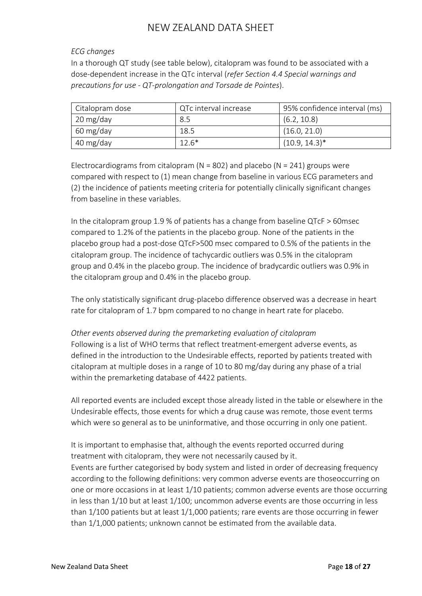# *ECG changes*

In a thorough QT study (see table below), citalopram was found to be associated with a dose-dependent increase in the QTc interval (*refer Section 4.4 Special warnings and precautions for use - QT-prolongation and Torsade de Pointes*).

| Citalopram dose | QTc interval increase | 95% confidence interval (ms) |
|-----------------|-----------------------|------------------------------|
| 20 mg/day       | 8.5                   | (6.2, 10.8)                  |
| 60 mg/day       | 18.5                  | (16.0, 21.0)                 |
| 40 mg/day       | $12.6*$               | $(10.9, 14.3)^*$             |

Electrocardiograms from citalopram ( $N = 802$ ) and placebo ( $N = 241$ ) groups were compared with respect to (1) mean change from baseline in various ECG parameters and (2) the incidence of patients meeting criteria for potentially clinically significant changes from baseline in these variables.

In the citalopram group 1.9 % of patients has a change from baseline QTcF > 60msec compared to 1.2% of the patients in the placebo group. None of the patients in the placebo group had a post-dose QTcF>500 msec compared to 0.5% of the patients in the citalopram group. The incidence of tachycardic outliers was 0.5% in the citalopram group and 0.4% in the placebo group. The incidence of bradycardic outliers was 0.9% in the citalopram group and 0.4% in the placebo group.

The only statistically significant drug-placebo difference observed was a decrease in heart rate for citalopram of 1.7 bpm compared to no change in heart rate for placebo.

*Other events observed during the premarketing evaluation of citalopram* Following is a list of WHO terms that reflect treatment-emergent adverse events, as defined in the introduction to the Undesirable effects, reported by patients treated with citalopram at multiple doses in a range of 10 to 80 mg/day during any phase of a trial within the premarketing database of 4422 patients.

All reported events are included except those already listed in the table or elsewhere in the Undesirable effects, those events for which a drug cause was remote, those event terms which were so general as to be uninformative, and those occurring in only one patient.

It is important to emphasise that, although the events reported occurred during treatment with citalopram, they were not necessarily caused by it.

Events are further categorised by body system and listed in order of decreasing frequency according to the following definitions: very common adverse events are thoseoccurring on one or more occasions in at least 1/10 patients; common adverse events are those occurring in less than 1/10 but at least 1/100; uncommon adverse events are those occurring in less than 1/100 patients but at least 1/1,000 patients; rare events are those occurring in fewer than 1/1,000 patients; unknown cannot be estimated from the available data.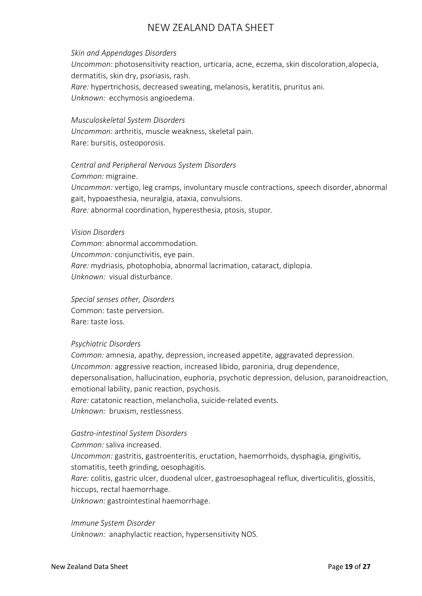## *Skin and Appendages Disorders*

*Uncommon*: photosensitivity reaction, urticaria, acne, eczema, skin discoloration, alopecia, dermatitis, skin dry, psoriasis, rash. *Rare:* hypertrichosis, decreased sweating, melanosis, keratitis, pruritus ani. *Unknown:* ecchymosis angioedema.

*Musculoskeletal System Disorders Uncommon*: arthritis, muscle weakness, skeletal pain. Rare: bursitis, osteoporosis.

*Central and Peripheral Nervous System Disorders*

*Common:* migraine.

*Uncommon:* vertigo, leg cramps, involuntary muscle contractions, speech disorder, abnormal gait, hypoaesthesia, neuralgia, ataxia, convulsions. *Rare:* abnormal coordination, hyperesthesia, ptosis, stupor.

#### *Vision Disorders*

*Common*: abnormal accommodation. *Uncommon:* conjunctivitis, eye pain. *Rare:* mydriasis, photophobia, abnormal lacrimation, cataract, diplopia. *Unknown:* visual disturbance.

*Special senses other, Disorders* Common: taste perversion. Rare: taste loss.

### *Psychiatric Disorders*

*Common:* amnesia, apathy, depression, increased appetite, aggravated depression. *Uncommon:* aggressive reaction, increased libido, paroniria, drug dependence, depersonalisation, hallucination, euphoria, psychotic depression, delusion, paranoidreaction, emotional lability, panic reaction, psychosis. *Rare:* catatonic reaction, melancholia, suicide-related events. *Unknown:* bruxism, restlessness.

### *Gastro-intestinal System Disorders*

*Common:* saliva increased. *Uncommon:* gastritis, gastroenteritis, eructation, haemorrhoids, dysphagia, gingivitis, stomatitis, teeth grinding, oesophagitis. *Rare:* colitis, gastric ulcer, duodenal ulcer, gastroesophageal reflux, diverticulitis, glossitis, hiccups, rectal haemorrhage. *Unknown:* gastrointestinal haemorrhage.

*Immune System Disorder*

*Unknown:* anaphylactic reaction, hypersensitivity NOS.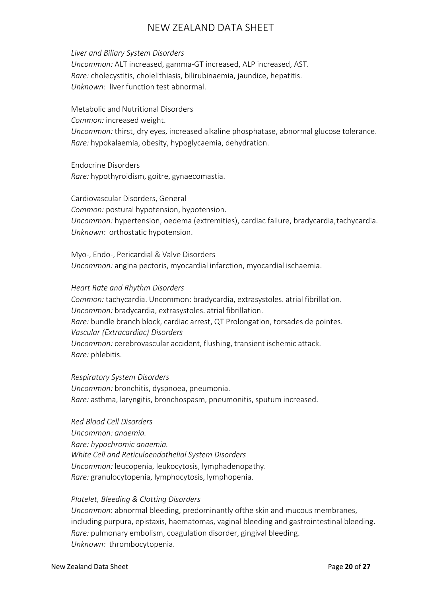### *Liver and Biliary System Disorders*

*Uncommon:* ALT increased, gamma-GT increased, ALP increased, AST. *Rare:* cholecystitis, cholelithiasis, bilirubinaemia, jaundice, hepatitis. *Unknown:* liver function test abnormal.

Metabolic and Nutritional Disorders *Common:* increased weight. *Uncommon:* thirst, dry eyes, increased alkaline phosphatase, abnormal glucose tolerance. *Rare:* hypokalaemia, obesity, hypoglycaemia, dehydration.

Endocrine Disorders *Rare:* hypothyroidism, goitre, gynaecomastia.

Cardiovascular Disorders, General *Common:* postural hypotension, hypotension. *Uncommon:* hypertension, oedema (extremities), cardiac failure, bradycardia, tachycardia. *Unknown:* orthostatic hypotension.

Myo-, Endo-, Pericardial & Valve Disorders *Uncommon:* angina pectoris, myocardial infarction, myocardial ischaemia.

### *Heart Rate and Rhythm Disorders*

*Common:* tachycardia. Uncommon: bradycardia, extrasystoles. atrial fibrillation. *Uncommon:* bradycardia, extrasystoles. atrial fibrillation. *Rare:* bundle branch block, cardiac arrest, QT Prolongation, torsades de pointes. *Vascular (Extracardiac) Disorders Uncommon:* cerebrovascular accident, flushing, transient ischemic attack. *Rare:* phlebitis.

*Respiratory System Disorders Uncommon:* bronchitis, dyspnoea, pneumonia. *Rare:* asthma, laryngitis, bronchospasm, pneumonitis, sputum increased.

*Red Blood Cell Disorders Uncommon: anaemia. Rare: hypochromic anaemia. White Cell and Reticuloendothelial System Disorders Uncommon:* leucopenia, leukocytosis, lymphadenopathy. *Rare:* granulocytopenia, lymphocytosis, lymphopenia.

### *Platelet, Bleeding & Clotting Disorders*

*Uncommon*: abnormal bleeding, predominantly ofthe skin and mucous membranes, including purpura, epistaxis, haematomas, vaginal bleeding and gastrointestinal bleeding. *Rare:* pulmonary embolism, coagulation disorder, gingival bleeding. *Unknown:* thrombocytopenia.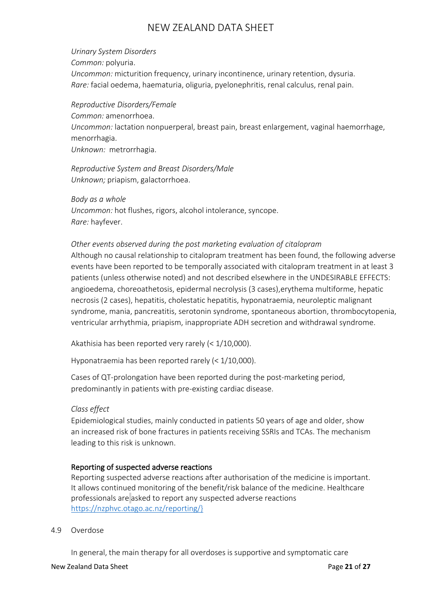*Urinary System Disorders Common:* polyuria. *Uncommon:* micturition frequency, urinary incontinence, urinary retention, dysuria. *Rare:* facial oedema, haematuria, oliguria, pyelonephritis, renal calculus, renal pain.

*Reproductive Disorders/Female*

*Common:* amenorrhoea. *Uncommon:* lactation nonpuerperal, breast pain, breast enlargement, vaginal haemorrhage, menorrhagia. *Unknown:* metrorrhagia.

*Reproductive System and Breast Disorders/Male Unknown;* priapism, galactorrhoea.

*Body as a whole Uncommon:* hot flushes, rigors, alcohol intolerance, syncope. *Rare:* hayfever.

## *Other events observed during the post marketing evaluation of citalopram*

Although no causal relationship to citalopram treatment has been found, the following adverse events have been reported to be temporally associated with citalopram treatment in at least 3 patients (unless otherwise noted) and not described elsewhere in the UNDESIRABLE EFFECTS: angioedema, choreoathetosis, epidermal necrolysis (3 cases),erythema multiforme, hepatic necrosis (2 cases), hepatitis, cholestatic hepatitis, hyponatraemia, neuroleptic malignant syndrome, mania, pancreatitis, serotonin syndrome, spontaneous abortion, thrombocytopenia, ventricular arrhythmia, priapism, inappropriate ADH secretion and withdrawal syndrome.

Akathisia has been reported very rarely (< 1/10,000).

Hyponatraemia has been reported rarely (< 1/10,000).

Cases of QT-prolongation have been reported during the post-marketing period, predominantly in patients with pre-existing cardiac disease.

# *Class effect*

Epidemiological studies, mainly conducted in patients 50 years of age and older, show an increased risk of bone fractures in patients receiving SSRIs and TCAs. The mechanism leading to this risk is unknown.

### Reporting of suspected adverse reactions

Reporting suspected adverse reactions after authorisation of the medicine is important. It allows continued monitoring of the benefit/risk balance of the medicine. Healthcare professionals are asked to report any suspected adverse reactions [https://nzphvc.otago.ac.nz/reporting/}](https://nzphvc.otago.ac.nz/reporting/)

### 4.9 Overdose

In general, the main therapy for all overdoses is supportive and symptomatic care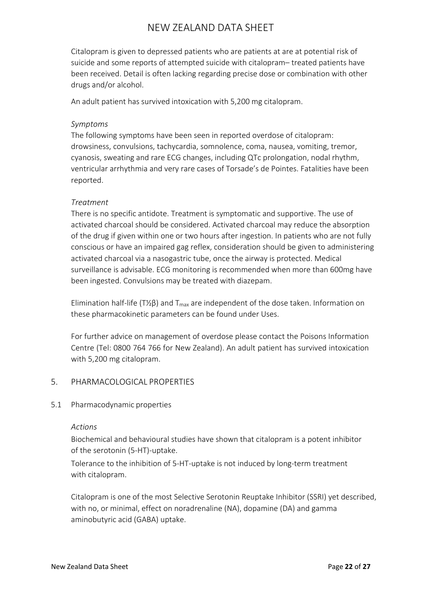Citalopram is given to depressed patients who are patients at are at potential risk of suicide and some reports of attempted suicide with citalopram– treated patients have been received. Detail is often lacking regarding precise dose or combination with other drugs and/or alcohol.

An adult patient has survived intoxication with 5,200 mg citalopram.

## *Symptoms*

The following symptoms have been seen in reported overdose of citalopram: drowsiness, convulsions, tachycardia, somnolence, coma, nausea, vomiting, tremor, cyanosis, sweating and rare ECG changes, including QTc prolongation, nodal rhythm, ventricular arrhythmia and very rare cases of Torsade's de Pointes. Fatalities have been reported.

# *Treatment*

There is no specific antidote. Treatment is symptomatic and supportive. The use of activated charcoal should be considered. Activated charcoal may reduce the absorption of the drug if given within one or two hours after ingestion. In patients who are not fully conscious or have an impaired gag reflex, consideration should be given to administering activated charcoal via a nasogastric tube, once the airway is protected. Medical surveillance is advisable. ECG monitoring is recommended when more than 600mg have been ingested. Convulsions may be treated with diazepam.

Elimination half-life (T½β) and  $T_{max}$  are independent of the dose taken. Information on these pharmacokinetic parameters can be found under Uses.

For further advice on management of overdose please contact the Poisons Information Centre (Tel: 0800 764 766 for New Zealand). An adult patient has survived intoxication with 5,200 mg citalopram.

# 5. PHARMACOLOGICAL PROPERTIES

### 5.1 Pharmacodynamic properties

### *Actions*

Biochemical and behavioural studies have shown that citalopram is a potent inhibitor of the serotonin (5-HT)-uptake.

Tolerance to the inhibition of 5-HT-uptake is not induced by long-term treatment with citalopram.

Citalopram is one of the most Selective Serotonin Reuptake Inhibitor (SSRI) yet described, with no, or minimal, effect on noradrenaline (NA), dopamine (DA) and gamma aminobutyric acid (GABA) uptake.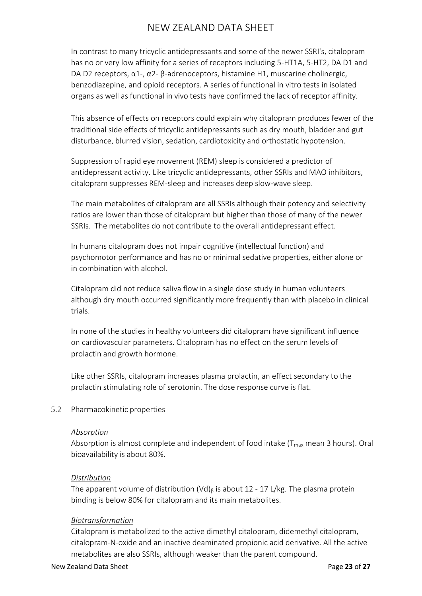In contrast to many tricyclic antidepressants and some of the newer SSRI's, citalopram has no or very low affinity for a series of receptors including 5-HT1A, 5-HT2, DA D1 and DA D2 receptors, α1-, α2- β-adrenoceptors, histamine H1, muscarine cholinergic, benzodiazepine, and opioid receptors. A series of functional in vitro tests in isolated organs as well as functional in vivo tests have confirmed the lack of receptor affinity.

This absence of effects on receptors could explain why citalopram produces fewer of the traditional side effects of tricyclic antidepressants such as dry mouth, bladder and gut disturbance, blurred vision, sedation, cardiotoxicity and orthostatic hypotension.

Suppression of rapid eye movement (REM) sleep is considered a predictor of antidepressant activity. Like tricyclic antidepressants, other SSRIs and MAO inhibitors, citalopram suppresses REM-sleep and increases deep slow-wave sleep.

The main metabolites of citalopram are all SSRIs although their potency and selectivity ratios are lower than those of citalopram but higher than those of many of the newer SSRIs. The metabolites do not contribute to the overall antidepressant effect.

In humans citalopram does not impair cognitive (intellectual function) and psychomotor performance and has no or minimal sedative properties, either alone or in combination with alcohol.

Citalopram did not reduce saliva flow in a single dose study in human volunteers although dry mouth occurred significantly more frequently than with placebo in clinical trials.

In none of the studies in healthy volunteers did citalopram have significant influence on cardiovascular parameters. Citalopram has no effect on the serum levels of prolactin and growth hormone.

Like other SSRIs, citalopram increases plasma prolactin, an effect secondary to the prolactin stimulating role of serotonin. The dose response curve is flat.

### 5.2 Pharmacokinetic properties

### *Absorption*

Absorption is almost complete and independent of food intake ( $T_{max}$  mean 3 hours). Oral bioavailability is about 80%.

### *Distribution*

The apparent volume of distribution (Vd) $<sub>β</sub>$  is about 12 - 17 L/kg. The plasma protein</sub> binding is below 80% for citalopram and its main metabolites.

### *Biotransformation*

Citalopram is metabolized to the active dimethyl citalopram, didemethyl citalopram, citalopram-N-oxide and an inactive deaminated propionic acid derivative. All the active metabolites are also SSRIs, although weaker than the parent compound.

#### New Zealand Data Sheet **Page 23** of 27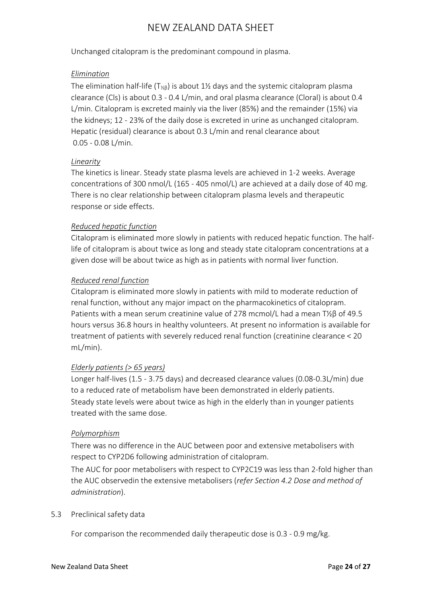Unchanged citalopram is the predominant compound in plasma.

## *Elimination*

The elimination half-life (T<sub>½β</sub>) is about 1½ days and the systemic citalopram plasma clearance (Cls) is about 0.3 - 0.4 L/min, and oral plasma clearance (Cloral) is about 0.4 L/min. Citalopram is excreted mainly via the liver (85%) and the remainder (15%) via the kidneys; 12 - 23% of the daily dose is excreted in urine as unchanged citalopram. Hepatic (residual) clearance is about 0.3 L/min and renal clearance about 0.05 - 0.08 L/min.

## *Linearity*

The kinetics is linear. Steady state plasma levels are achieved in 1-2 weeks. Average concentrations of 300 nmol/L (165 - 405 nmol/L) are achieved at a daily dose of 40 mg. There is no clear relationship between citalopram plasma levels and therapeutic response or side effects.

## *Reduced hepatic function*

Citalopram is eliminated more slowly in patients with reduced hepatic function. The halflife of citalopram is about twice as long and steady state citalopram concentrations at a given dose will be about twice as high as in patients with normal liver function.

## *Reduced renal function*

Citalopram is eliminated more slowly in patients with mild to moderate reduction of renal function, without any major impact on the pharmacokinetics of citalopram. Patients with a mean serum creatinine value of 278 mcmol/L had a mean T½β of 49.5 hours versus 36.8 hours in healthy volunteers. At present no information is available for treatment of patients with severely reduced renal function (creatinine clearance < 20 mL/min).

# *Elderly patients (> 65 years)*

Longer half-lives (1.5 - 3.75 days) and decreased clearance values (0.08-0.3L/min) due to a reduced rate of metabolism have been demonstrated in elderly patients. Steady state levels were about twice as high in the elderly than in younger patients treated with the same dose.

### *Polymorphism*

There was no difference in the AUC between poor and extensive metabolisers with respect to CYP2D6 following administration of citalopram.

The AUC for poor metabolisers with respect to CYP2C19 was less than 2-fold higher than the AUC observedin the extensive metabolisers (*refer Section 4.2 Dose and method of administration*).

### 5.3 Preclinical safety data

For comparison the recommended daily therapeutic dose is 0.3 - 0.9 mg/kg.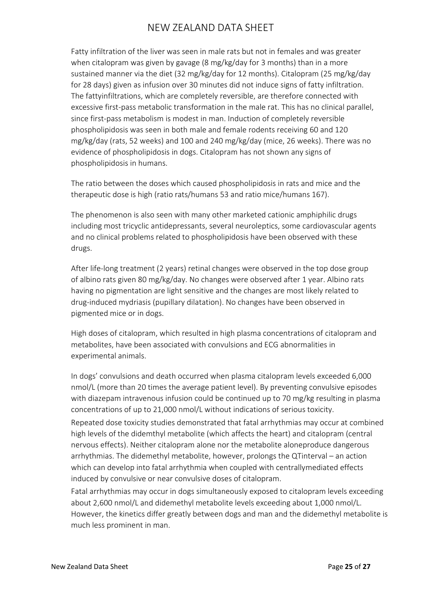Fatty infiltration of the liver was seen in male rats but not in females and was greater when citalopram was given by gavage (8 mg/kg/day for 3 months) than in a more sustained manner via the diet (32 mg/kg/day for 12 months). Citalopram (25 mg/kg/day for 28 days) given as infusion over 30 minutes did not induce signs of fatty infiltration. The fattyinfiltrations, which are completely reversible, are therefore connected with excessive first-pass metabolic transformation in the male rat. This has no clinical parallel, since first-pass metabolism is modest in man. Induction of completely reversible phospholipidosis was seen in both male and female rodents receiving 60 and 120 mg/kg/day (rats, 52 weeks) and 100 and 240 mg/kg/day (mice, 26 weeks). There was no evidence of phospholipidosis in dogs. Citalopram has not shown any signs of phospholipidosis in humans.

The ratio between the doses which caused phospholipidosis in rats and mice and the therapeutic dose is high (ratio rats/humans 53 and ratio mice/humans 167).

The phenomenon is also seen with many other marketed cationic amphiphilic drugs including most tricyclic antidepressants, several neuroleptics, some cardiovascular agents and no clinical problems related to phospholipidosis have been observed with these drugs.

After life-long treatment (2 years) retinal changes were observed in the top dose group of albino rats given 80 mg/kg/day. No changes were observed after 1 year. Albino rats having no pigmentation are light sensitive and the changes are most likely related to drug-induced mydriasis (pupillary dilatation). No changes have been observed in pigmented mice or in dogs.

High doses of citalopram, which resulted in high plasma concentrations of citalopram and metabolites, have been associated with convulsions and ECG abnormalities in experimental animals.

In dogs' convulsions and death occurred when plasma citalopram levels exceeded 6,000 nmol/L (more than 20 times the average patient level). By preventing convulsive episodes with diazepam intravenous infusion could be continued up to 70 mg/kg resulting in plasma concentrations of up to 21,000 nmol/L without indications of serious toxicity. Repeated dose toxicity studies demonstrated that fatal arrhythmias may occur at combined high levels of the didemthyl metabolite (which affects the heart) and citalopram (central nervous effects). Neither citalopram alone nor the metabolite aloneproduce dangerous arrhythmias. The didemethyl metabolite, however, prolongs the QTinterval – an action which can develop into fatal arrhythmia when coupled with centrallymediated effects induced by convulsive or near convulsive doses of citalopram.

Fatal arrhythmias may occur in dogs simultaneously exposed to citalopram levels exceeding about 2,600 nmol/L and didemethyl metabolite levels exceeding about 1,000 nmol/L. However, the kinetics differ greatly between dogs and man and the didemethyl metabolite is much less prominent in man.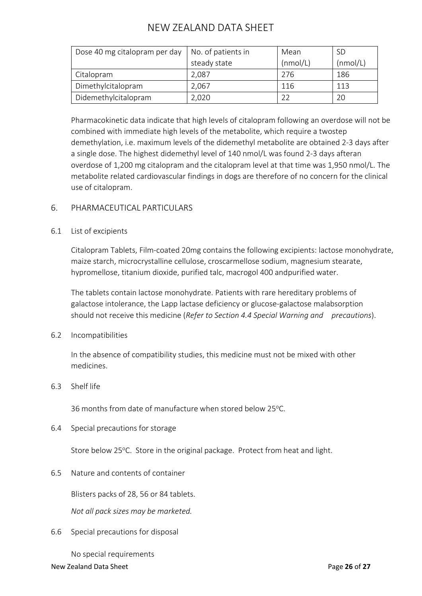| Dose 40 mg citalopram per day | No. of patients in | Mean     | <b>SD</b> |
|-------------------------------|--------------------|----------|-----------|
|                               | steady state       | (nmol/L) | (mmol/L)  |
| Citalopram                    | 2,087              | 276      | 186       |
| Dimethylcitalopram            | 2,067              | 116      | 113       |
| Didemethylcitalopram          | 2,020              | 22       | 20        |

Pharmacokinetic data indicate that high levels of citalopram following an overdose will not be combined with immediate high levels of the metabolite, which require a twostep demethylation, i.e. maximum levels of the didemethyl metabolite are obtained 2-3 days after a single dose. The highest didemethyl level of 140 nmol/L was found 2-3 days afteran overdose of 1,200 mg citalopram and the citalopram level at that time was 1,950 nmol/L. The metabolite related cardiovascular findings in dogs are therefore of no concern for the clinical use of citalopram.

# 6. PHARMACEUTICAL PARTICULARS

# 6.1 List of excipients

Citalopram Tablets, Film-coated 20mg contains the following excipients: lactose monohydrate, maize starch, microcrystalline cellulose, croscarmellose sodium, magnesium stearate, hypromellose, titanium dioxide, purified talc, macrogol 400 andpurified water.

The tablets contain lactose monohydrate. Patients with rare hereditary problems of galactose intolerance, the Lapp lactase deficiency or glucose-galactose malabsorption should not receive this medicine (*Refer to Section 4.4 Special Warning and precautions*).

6.2 Incompatibilities

In the absence of compatibility studies, this medicine must not be mixed with other medicines.

### 6.3 Shelf life

36 months from date of manufacture when stored below 25°C.

6.4 Special precautions for storage

Store below 25°C. Store in the original package. Protect from heat and light.

6.5 Nature and contents of container

Blisters packs of 28, 56 or 84 tablets.

*Not all pack sizes may be marketed.*

6.6 Special precautions for disposal

No special requirements